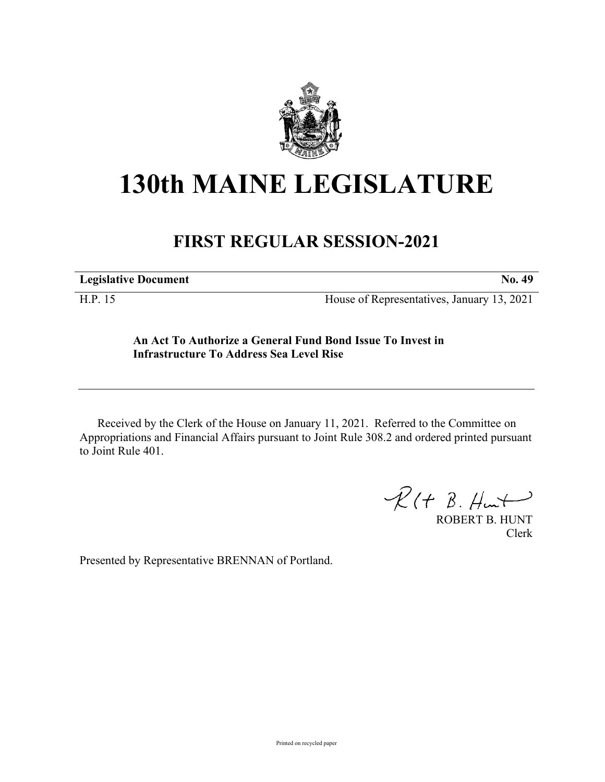

# **130th MAINE LEGISLATURE**

# **FIRST REGULAR SESSION-2021**

**Legislative Document No. 49**

H.P. 15 House of Representatives, January 13, 2021

**An Act To Authorize a General Fund Bond Issue To Invest in Infrastructure To Address Sea Level Rise**

Received by the Clerk of the House on January 11, 2021. Referred to the Committee on Appropriations and Financial Affairs pursuant to Joint Rule 308.2 and ordered printed pursuant to Joint Rule 401.

 $R(H B. H<sub>un</sub>)$ 

ROBERT B. HUNT Clerk

Presented by Representative BRENNAN of Portland.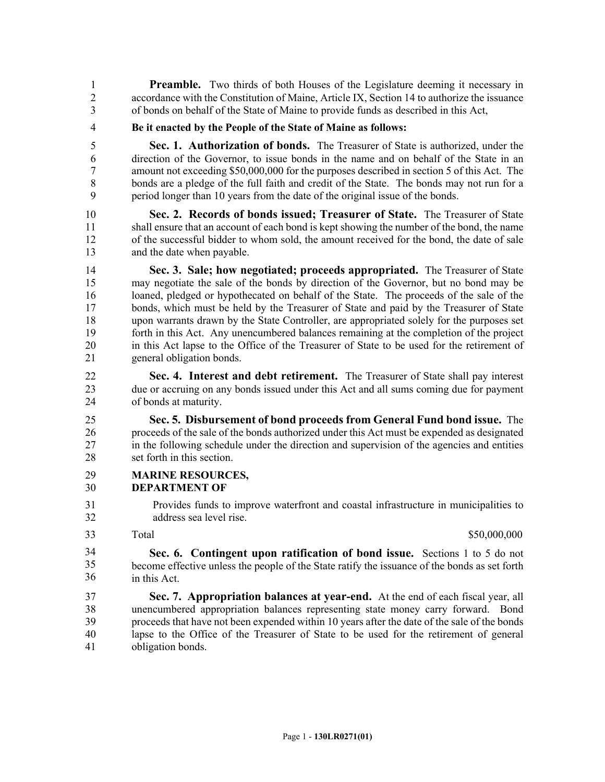**Preamble.** Two thirds of both Houses of the Legislature deeming it necessary in 2 accordance with the Constitution of Maine, Article IX, Section 14 to authorize the issuance 3 of bonds on behalf of the State of Maine to provide funds as described in this Act,

4 **Be it enacted by the People of the State of Maine as follows:**

5 **Sec. 1. Authorization of bonds.** The Treasurer of State is authorized, under the 6 direction of the Governor, to issue bonds in the name and on behalf of the State in an 7 amount not exceeding \$50,000,000 for the purposes described in section 5 of this Act. The 8 bonds are a pledge of the full faith and credit of the State. The bonds may not run for a 9 period longer than 10 years from the date of the original issue of the bonds.

10 **Sec. 2. Records of bonds issued; Treasurer of State.** The Treasurer of State 11 shall ensure that an account of each bond is kept showing the number of the bond, the name 12 of the successful bidder to whom sold, the amount received for the bond, the date of sale 13 and the date when payable.

14 **Sec. 3. Sale; how negotiated; proceeds appropriated.** The Treasurer of State 15 may negotiate the sale of the bonds by direction of the Governor, but no bond may be 16 loaned, pledged or hypothecated on behalf of the State. The proceeds of the sale of the 17 bonds, which must be held by the Treasurer of State and paid by the Treasurer of State 18 upon warrants drawn by the State Controller, are appropriated solely for the purposes set 19 forth in this Act. Any unencumbered balances remaining at the completion of the project 20 in this Act lapse to the Office of the Treasurer of State to be used for the retirement of 21 general obligation bonds.

22 **Sec. 4. Interest and debt retirement.** The Treasurer of State shall pay interest 23 due or accruing on any bonds issued under this Act and all sums coming due for payment 24 of bonds at maturity.

25 **Sec. 5. Disbursement of bond proceeds from General Fund bond issue.** The 26 proceeds of the sale of the bonds authorized under this Act must be expended as designated 27 in the following schedule under the direction and supervision of the agencies and entities 28 set forth in this section.

## 29 **MARINE RESOURCES,**

### 30 **DEPARTMENT OF**

- 31 Provides funds to improve waterfront and coastal infrastructure in municipalities to 32 address sea level rise.
- 33

#### Total \$50,000,000 \$50,000,000 \$50,000,000 \$50,000,000 \$50,000 \$50,000 \$50,000 \$50,000 \$50,000 \$50,000 \$50,000 \$50,000 \$50,000 \$50,000 \$50,000 \$50,000 \$50,000 \$50,000 \$50,000 \$50,000 \$50,000 \$50,000 \$50,000 \$50,000 \$50,000

33 **Sec. 6. Contingent upon ratification of bond issue.** Sections 1 to 5 do not become effective unless the people of the State ratify the issuance of the bonds as set forth in this Act. 34 35 36

37 **Sec. 7. Appropriation balances at year-end.** At the end of each fiscal year, all 38 unencumbered appropriation balances representing state money carry forward. Bond 39 proceeds that have not been expended within 10 years after the date of the sale of the bonds 40 lapse to the Office of the Treasurer of State to be used for the retirement of general 41 obligation bonds.